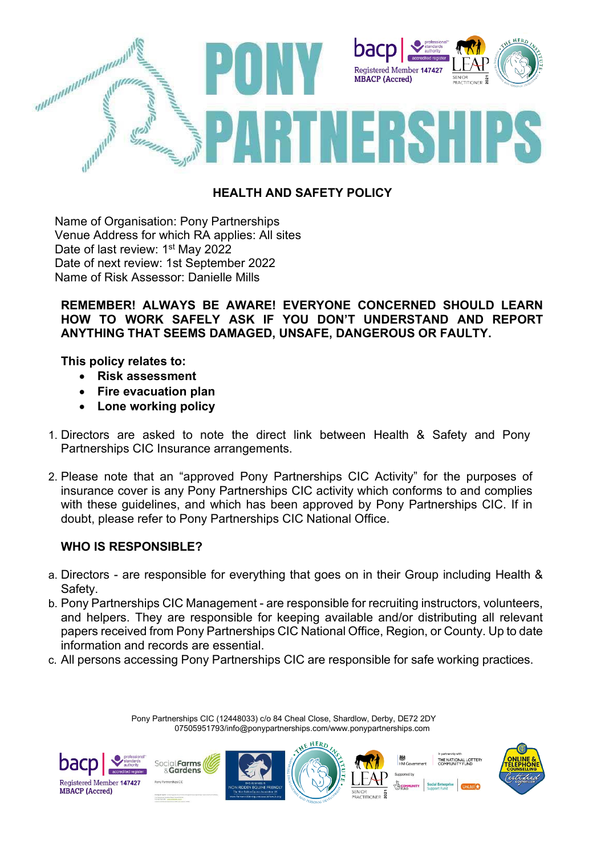

### **HEALTH AND SAFETY POLICY**

Name of Organisation: Pony Partnerships Venue Address for which RA applies: All sites Date of last review: 1<sup>st</sup> May 2022 Date of next review: 1st September 2022 Name of Risk Assessor: Danielle Mills

#### **REMEMBER! ALWAYS BE AWARE! EVERYONE CONCERNED SHOULD LEARN HOW TO WORK SAFELY ASK IF YOU DON'T UNDERSTAND AND REPORT ANYTHING THAT SEEMS DAMAGED, UNSAFE, DANGEROUS OR FAULTY.**

**This policy relates to:**

- **Risk assessment**
- **Fire evacuation plan**
- **Lone working policy**
- 1. Directors are asked to note the direct link between Health & Safety and Pony Partnerships CIC Insurance arrangements.
- 2. Please note that an "approved Pony Partnerships CIC Activity" for the purposes of insurance cover is any Pony Partnerships CIC activity which conforms to and complies with these guidelines, and which has been approved by Pony Partnerships CIC. If in doubt, please refer to Pony Partnerships CIC National Office.

### **WHO IS RESPONSIBLE?**

- a. Directors are responsible for everything that goes on in their Group including Health & Safety.
- b. Pony Partnerships CIC Management are responsible for recruiting instructors, volunteers, and helpers. They are responsible for keeping available and/or distributing all relevant papers received from Pony Partnerships CIC National Office, Region, or County. Up to date information and records are essential.
- c. All persons accessing Pony Partnerships CIC are responsible for safe working practices.

Pony Partnerships CIC (12448033) c/o 84 Cheal Close, Shardlow, Derby, DE72 2DY 07505951793/info@ponypartnerships.com/www.ponypartnerships.com

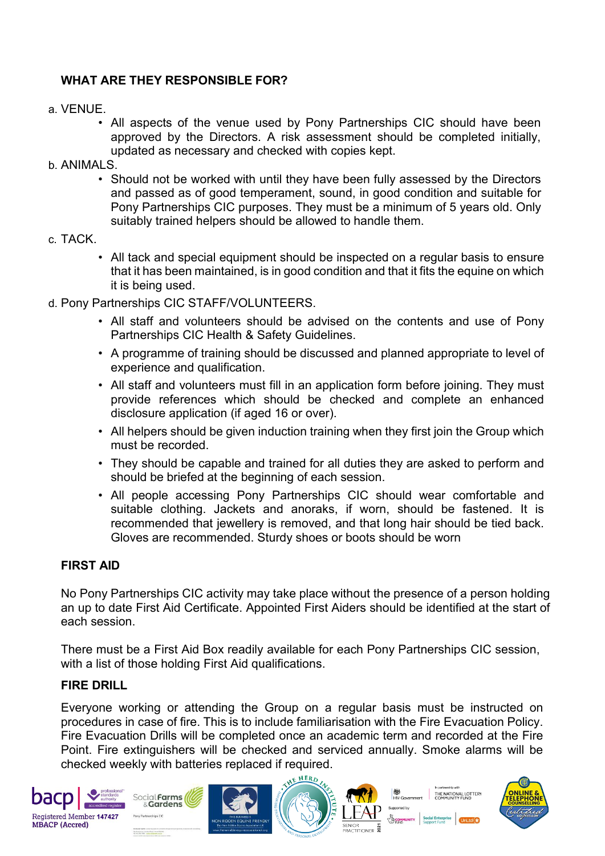# **WHAT ARE THEY RESPONSIBLE FOR?**

- a. VENUE.
	- All aspects of the venue used by Pony Partnerships CIC should have been approved by the Directors. A risk assessment should be completed initially, updated as necessary and checked with copies kept.
- b. ANIMALS.
	- Should not be worked with until they have been fully assessed by the Directors and passed as of good temperament, sound, in good condition and suitable for Pony Partnerships CIC purposes. They must be a minimum of 5 years old. Only suitably trained helpers should be allowed to handle them.
- c. TACK.
	- All tack and special equipment should be inspected on a regular basis to ensure that it has been maintained, is in good condition and that it fits the equine on which it is being used.
- d. Pony Partnerships CIC STAFF/VOLUNTEERS.
	- All staff and volunteers should be advised on the contents and use of Pony Partnerships CIC Health & Safety Guidelines.
	- A programme of training should be discussed and planned appropriate to level of experience and qualification.
	- All staff and volunteers must fill in an application form before joining. They must provide references which should be checked and complete an enhanced disclosure application (if aged 16 or over).
	- All helpers should be given induction training when they first join the Group which must be recorded.
	- They should be capable and trained for all duties they are asked to perform and should be briefed at the beginning of each session.
	- All people accessing Pony Partnerships CIC should wear comfortable and suitable clothing. Jackets and anoraks, if worn, should be fastened. It is recommended that jewellery is removed, and that long hair should be tied back. Gloves are recommended. Sturdy shoes or boots should be worn

#### **FIRST AID**

No Pony Partnerships CIC activity may take place without the presence of a person holding an up to date First Aid Certificate. Appointed First Aiders should be identified at the start of each session.

There must be a First Aid Box readily available for each Pony Partnerships CIC session, with a list of those holding First Aid qualifications.

#### **FIRE DRILL**

Everyone working or attending the Group on a regular basis must be instructed on procedures in case of fire. This is to include familiarisation with the Fire Evacuation Policy. Fire Evacuation Drills will be completed once an academic term and recorded at the Fire Point. Fire extinguishers will be checked and serviced annually. Smoke alarms will be checked weekly with batteries replaced if required.









機<br>HM Government THE NATIONAL LOTTERY<br>COMMUNITY FUND